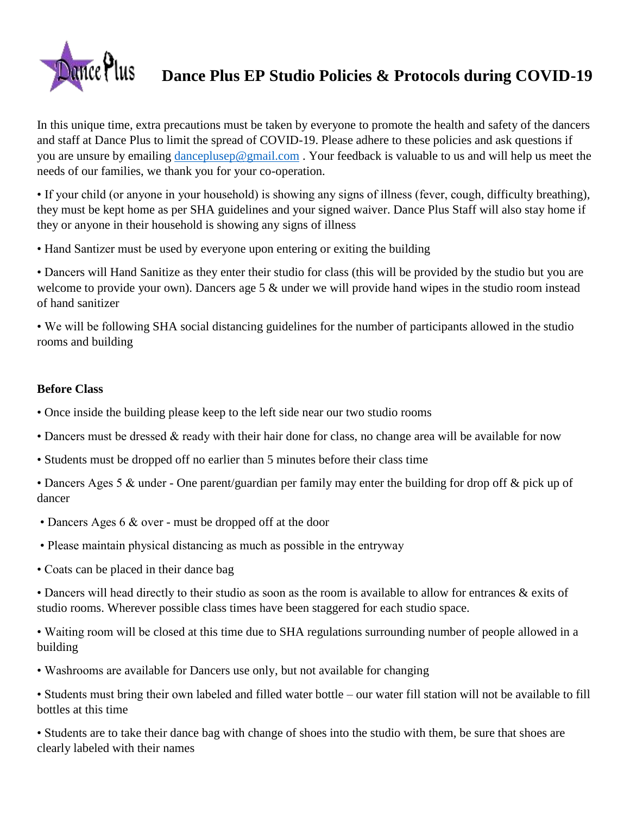

# **Dance Plus EP Studio Policies & Protocols during COVID-19**

In this unique time, extra precautions must be taken by everyone to promote the health and safety of the dancers and staff at Dance Plus to limit the spread of COVID-19. Please adhere to these policies and ask questions if you are unsure by emailing [danceplusep@gmail.com](mailto:danceplusep@gmail.com) . Your feedback is valuable to us and will help us meet the needs of our families, we thank you for your co-operation.

• If your child (or anyone in your household) is showing any signs of illness (fever, cough, difficulty breathing), they must be kept home as per SHA guidelines and your signed waiver. Dance Plus Staff will also stay home if they or anyone in their household is showing any signs of illness

• Hand Santizer must be used by everyone upon entering or exiting the building

• Dancers will Hand Sanitize as they enter their studio for class (this will be provided by the studio but you are welcome to provide your own). Dancers age 5  $\&$  under we will provide hand wipes in the studio room instead of hand sanitizer

• We will be following SHA social distancing guidelines for the number of participants allowed in the studio rooms and building

## **Before Class**

- Once inside the building please keep to the left side near our two studio rooms
- Dancers must be dressed & ready with their hair done for class, no change area will be available for now
- Students must be dropped off no earlier than 5 minutes before their class time
- Dancers Ages 5 & under One parent/guardian per family may enter the building for drop off & pick up of dancer
- Dancers Ages 6 & over must be dropped off at the door
- Please maintain physical distancing as much as possible in the entryway
- Coats can be placed in their dance bag

• Dancers will head directly to their studio as soon as the room is available to allow for entrances & exits of studio rooms. Wherever possible class times have been staggered for each studio space.

• Waiting room will be closed at this time due to SHA regulations surrounding number of people allowed in a building

- Washrooms are available for Dancers use only, but not available for changing
- Students must bring their own labeled and filled water bottle our water fill station will not be available to fill bottles at this time

• Students are to take their dance bag with change of shoes into the studio with them, be sure that shoes are clearly labeled with their names